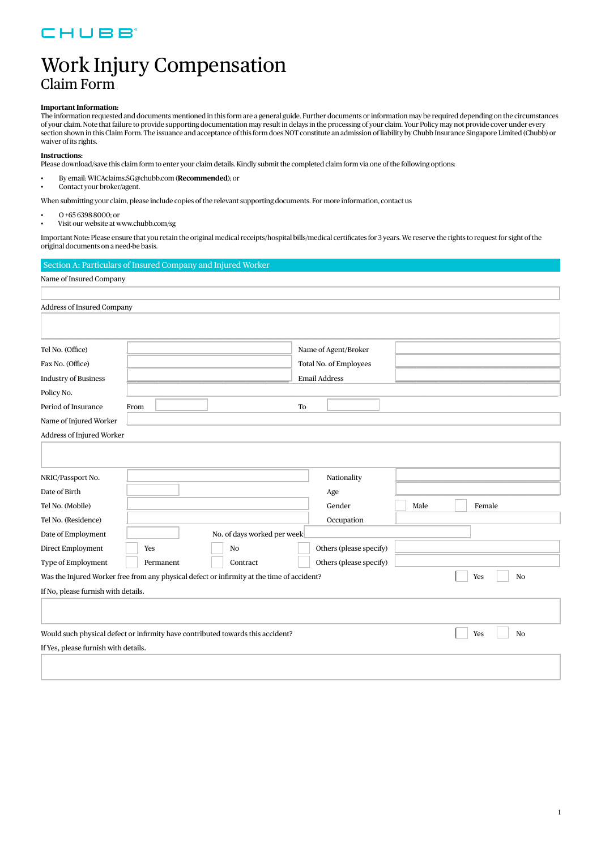### CHUBB

## Work Injury Compensation Claim Form

#### **Important Information:**

The information requested and documents mentioned in this form are a general guide. Further documents or information may be required depending on the circumstances of your claim. Note that failure to provide supporting documentation may result in delays in the processing of your claim. Your Policy may not provide cover under every section shown in this Claim Form. The issuance and acceptance of this form does NOT constitute an admission of liability by Chubb Insurance Singapore Limited (Chubb) or waiver of its rights.

#### **Instructions:**

Please download/save this claim form to enter your claim details. Kindly submit the completed claim form via one of the following options:

- By email: WICAclaims.SG@chubb.com (**Recommended**); or
- Contact your broker/agent.

When submitting your claim, please include copies of the relevant supporting documents. For more information, contact us

- O +65 6398 8000; or
- Visit our website at [www.chubb.com/sg](https://www.chubb.com/sg-en/)

Important Note: Please ensure that you retain the original medical receipts/hospital bills/medical certificates for 3 years. We reserve the rights to request for sight of the original documents on a need-be basis.

| Section A: Particulars of Insured Company and Injured Worker                               |           |                             |                         |      |                       |
|--------------------------------------------------------------------------------------------|-----------|-----------------------------|-------------------------|------|-----------------------|
| Name of Insured Company                                                                    |           |                             |                         |      |                       |
|                                                                                            |           |                             |                         |      |                       |
| Address of Insured Company                                                                 |           |                             |                         |      |                       |
|                                                                                            |           |                             |                         |      |                       |
|                                                                                            |           |                             |                         |      |                       |
| Tel No. (Office)                                                                           |           |                             | Name of Agent/Broker    |      |                       |
| Fax No. (Office)                                                                           |           |                             | Total No. of Employees  |      |                       |
| <b>Industry of Business</b>                                                                |           |                             | <b>Email Address</b>    |      |                       |
| Policy No.                                                                                 |           |                             |                         |      |                       |
| Period of Insurance                                                                        | From      |                             | To                      |      |                       |
| Name of Injured Worker                                                                     |           |                             |                         |      |                       |
| Address of Injured Worker                                                                  |           |                             |                         |      |                       |
|                                                                                            |           |                             |                         |      |                       |
|                                                                                            |           |                             |                         |      |                       |
| NRIC/Passport No.                                                                          |           |                             | Nationality             |      |                       |
| Date of Birth                                                                              |           |                             | Age                     |      |                       |
| Tel No. (Mobile)                                                                           |           |                             | Gender                  | Male | Female                |
| Tel No. (Residence)                                                                        |           |                             | Occupation              |      |                       |
| Date of Employment                                                                         |           | No. of days worked per week |                         |      |                       |
| Direct Employment                                                                          | Yes       | No                          | Others (please specify) |      |                       |
| Type of Employment                                                                         | Permanent | Contract                    | Others (please specify) |      |                       |
| Was the Injured Worker free from any physical defect or infirmity at the time of accident? |           |                             |                         |      | Yes<br>No             |
| If No, please furnish with details.                                                        |           |                             |                         |      |                       |
|                                                                                            |           |                             |                         |      |                       |
|                                                                                            |           |                             |                         |      |                       |
| Would such physical defect or infirmity have contributed towards this accident?            |           |                             |                         |      | Yes<br>N <sub>o</sub> |
| If Yes, please furnish with details.                                                       |           |                             |                         |      |                       |
|                                                                                            |           |                             |                         |      |                       |
|                                                                                            |           |                             |                         |      |                       |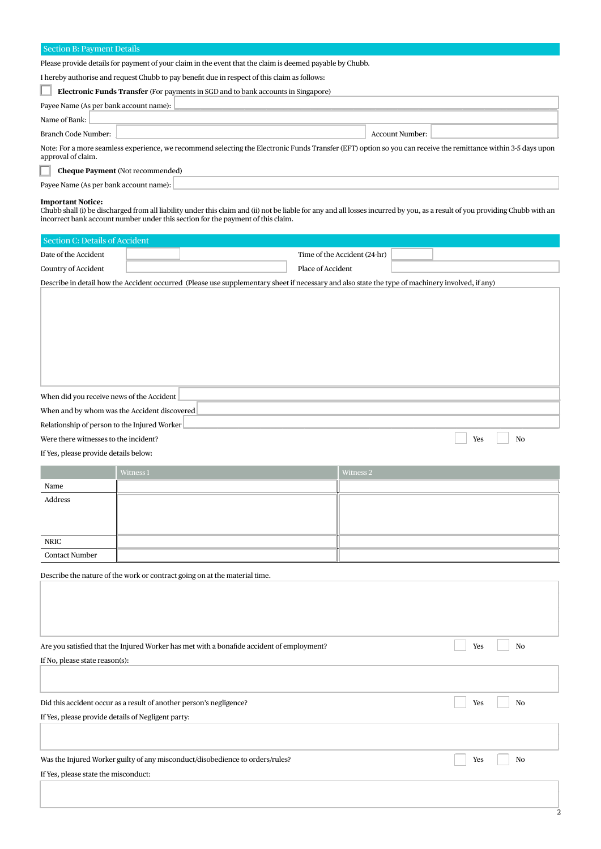#### Section B: Payment Details

Please provide details for payment of your claim in the event that the claim is deemed payable by Chubb.

I hereby authorise and request Chubb to pay benefit due in respect of this claim as follows:

| <b>Electronic Funds Transfer</b> (For payments in SGD and to bank accounts in Singapore)                                                                                             |                 |  |
|--------------------------------------------------------------------------------------------------------------------------------------------------------------------------------------|-----------------|--|
| Payee Name (As per bank account name): $\lfloor$                                                                                                                                     |                 |  |
| Name of Bank:                                                                                                                                                                        |                 |  |
| Branch Code Number:                                                                                                                                                                  | Account Number: |  |
| Note: For a more seamless experience, we recommend selecting the Electronic Funds Transfer (EFT) option so you can receive the remittance within 3-5 days upon<br>approval of claim. |                 |  |
|                                                                                                                                                                                      |                 |  |

**Cheque Payment** (Not recommended) ш

| Payee Name (As per bank account name) |  |  |  |
|---------------------------------------|--|--|--|
|---------------------------------------|--|--|--|

#### **Important Notice:**

mpo (and to be discharged from all liability under this claim and (ii) not be liable for any and all losses incurred by you, as a result of you providing Chubb with an incorrect bank account number under this section for t

| Section C: Details of Accident                                                                                                                   |  |                              |  |  |  |  |
|--------------------------------------------------------------------------------------------------------------------------------------------------|--|------------------------------|--|--|--|--|
| Date of the Accident                                                                                                                             |  | Time of the Accident (24-hr) |  |  |  |  |
| Country of Accident                                                                                                                              |  | Place of Accident            |  |  |  |  |
| Describe in detail how the Accident occurred (Please use supplementary sheet if necessary and also state the type of machinery involved, if any) |  |                              |  |  |  |  |

When did you receive news of the Accident When and by whom was the Accident discovered

Were there witnesses to the incident?

Relationship of person to the Injured Worker

If Yes, please provide details below:

|                       | Witness 1 | Witness 2 |
|-----------------------|-----------|-----------|
| Name                  |           |           |
| Address               |           |           |
|                       |           |           |
|                       |           |           |
| NRIC                  |           |           |
| <b>Contact Number</b> |           |           |

**Exercise** 

 $\overline{N}$ 

 $\frac{1}{2}$ 

Describe the nature of the work or contract going on at the material time.

| Are you satisfied that the Injured Worker has met with a bonafide accident of employment? | Yes<br>N <sub>0</sub> |
|-------------------------------------------------------------------------------------------|-----------------------|
| If No, please state reason(s):                                                            |                       |
| Did this accident occur as a result of another person's negligence?                       | N <sub>0</sub><br>Yes |
| If Yes, please provide details of Negligent party:                                        |                       |
| Was the Injured Worker guilty of any misconduct/disobedience to orders/rules?             | Yes<br>No             |
| If Yes, please state the misconduct:                                                      |                       |
|                                                                                           |                       |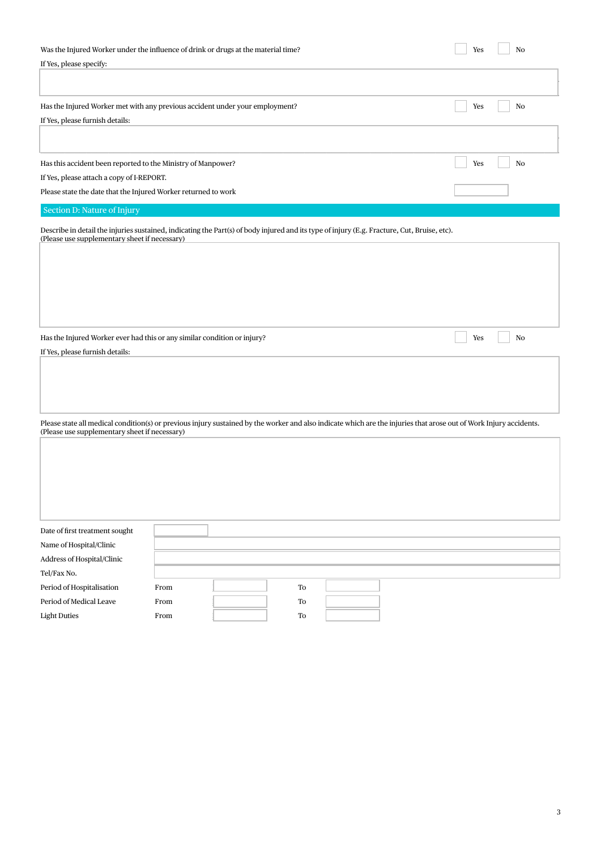| Was the Injured Worker under the influence of drink or drugs at the material time?                                                                                                           | Yes |    |
|----------------------------------------------------------------------------------------------------------------------------------------------------------------------------------------------|-----|----|
| If Yes, please specify:                                                                                                                                                                      |     |    |
|                                                                                                                                                                                              |     |    |
|                                                                                                                                                                                              |     |    |
| Has the Injured Worker met with any previous accident under your employment?                                                                                                                 | Yes | No |
| If Yes, please furnish details:                                                                                                                                                              |     |    |
|                                                                                                                                                                                              |     |    |
|                                                                                                                                                                                              |     |    |
| Has this accident been reported to the Ministry of Manpower?                                                                                                                                 | Yes | No |
| If Yes, please attach a copy of I-REPORT.                                                                                                                                                    |     |    |
| Please state the date that the Injured Worker returned to work                                                                                                                               |     |    |
| Section D: Nature of Injury                                                                                                                                                                  |     |    |
| Describe in detail the injuries sustained, indicating the Part(s) of body injured and its type of injury (E.g. Fracture, Cut, Bruise, etc).<br>(Please use supplementary sheet if necessary) |     |    |

Has the Injured Worker ever had this or any similar condition or injury?

If Yes, please furnish details:

Please state all medical condition(s) or previous injury sustained by the worker and also indicate which are the injuries that arose out of Work Injury accidents.<br>(Please use supplementary sheet if necessary)

 $\begin{array}{c} \hline \end{array}$ 

 $\overline{\phantom{a}}$  Yes

 $\sqrt{N}$ 

| Date of first treatment sought |      |    |  |  |
|--------------------------------|------|----|--|--|
| Name of Hospital/Clinic        |      |    |  |  |
| Address of Hospital/Clinic     |      |    |  |  |
| Tel/Fax No.                    |      |    |  |  |
| Period of Hospitalisation      | From | To |  |  |
| Period of Medical Leave        | From | To |  |  |
| <b>Light Duties</b>            | From | To |  |  |
|                                |      |    |  |  |